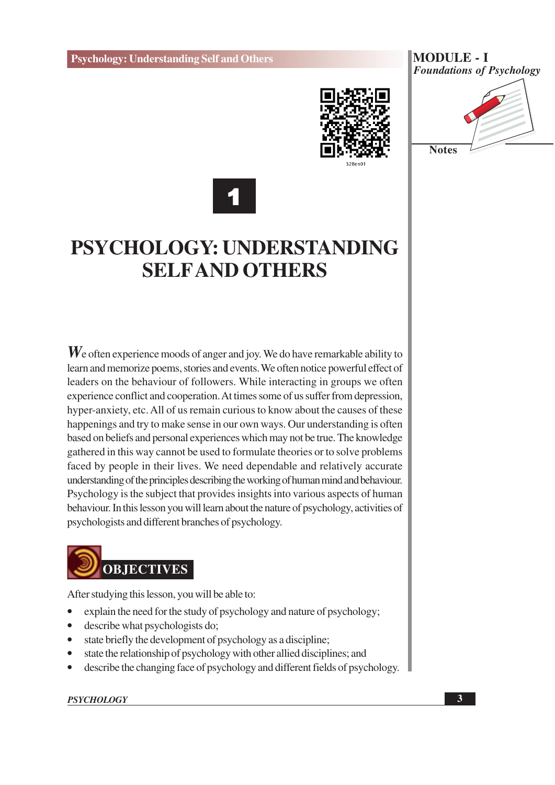

**MODULE - I Foundations of Psychology** 





# PSYCHOLOGY: UNDERSTANDING **SELFAND OTHERS**

 $W_e$  often experience moods of anger and joy. We do have remarkable ability to learn and memorize poems, stories and events. We often notice powerful effect of leaders on the behaviour of followers. While interacting in groups we often experience conflict and cooperation. At times some of us suffer from depression, hyper-anxiety, etc. All of us remain curious to know about the causes of these happenings and try to make sense in our own ways. Our understanding is often based on beliefs and personal experiences which may not be true. The knowledge gathered in this way cannot be used to formulate theories or to solve problems faced by people in their lives. We need dependable and relatively accurate understanding of the principles describing the working of human mind and behaviour. Psychology is the subject that provides insights into various aspects of human behaviour. In this lesson you will learn about the nature of psychology, activities of psychologists and different branches of psychology.



After studying this lesson, you will be able to:

- explain the need for the study of psychology and nature of psychology;
- $\bullet$ describe what psychologists do;
- state briefly the development of psychology as a discipline;  $\bullet$
- state the relationship of psychology with other allied disciplines; and  $\bullet$
- describe the changing face of psychology and different fields of psychology.

#### **PSYCHOLOGY**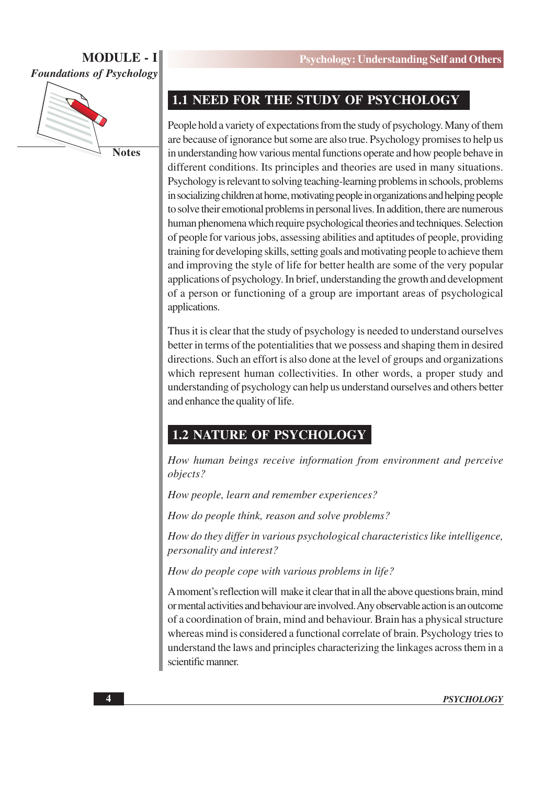

**Notes** 

### 1.1 NEED FOR THE STUDY OF PSYCHOLOGY

People hold a variety of expectations from the study of psychology. Many of them are because of ignorance but some are also true. Psychology promises to help us in understanding how various mental functions operate and how people behave in different conditions. Its principles and theories are used in many situations. Psychology is relevant to solving teaching-learning problems in schools, problems in socializing children at home, motivating people in organizations and helping people to solve their emotional problems in personal lives. In addition, there are numerous human phenomena which require psychological theories and techniques. Selection of people for various jobs, assessing abilities and aptitudes of people, providing training for developing skills, setting goals and motivating people to achieve them and improving the style of life for better health are some of the very popular applications of psychology. In brief, understanding the growth and development of a person or functioning of a group are important areas of psychological applications.

Thus it is clear that the study of psychology is needed to understand ourselves better in terms of the potentialities that we possess and shaping them in desired directions. Such an effort is also done at the level of groups and organizations which represent human collectivities. In other words, a proper study and understanding of psychology can help us understand ourselves and others better and enhance the quality of life.

# **1.2 NATURE OF PSYCHOLOGY**

How human beings receive information from environment and perceive objects?

How people, learn and remember experiences?

How do people think, reason and solve problems?

How do they differ in various psychological characteristics like intelligence, personality and interest?

How do people cope with various problems in life?

A moment's reflection will make it clear that in all the above questions brain, mind or mental activities and behaviour are involved. Any observable action is an outcome of a coordination of brain, mind and behaviour. Brain has a physical structure whereas mind is considered a functional correlate of brain. Psychology tries to understand the laws and principles characterizing the linkages across them in a scientific manner.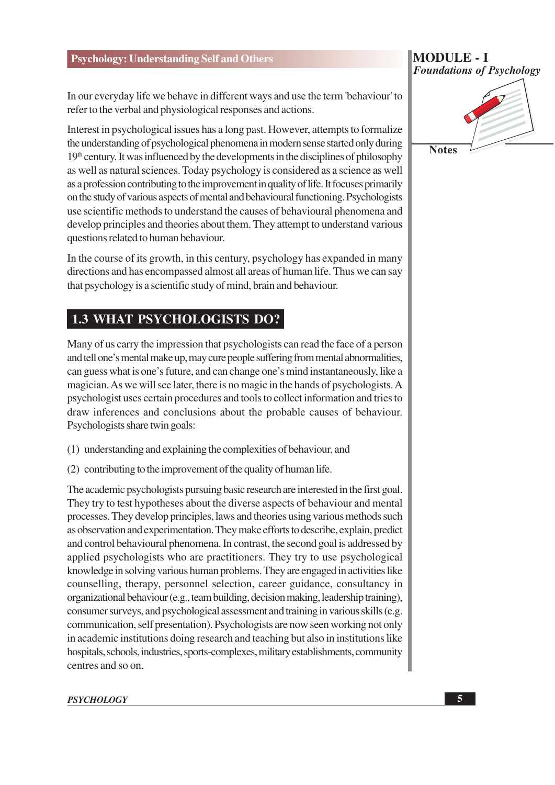In our everyday life we behave in different ways and use the term 'behaviour' to

refer to the verbal and physiological responses and actions.

Interest in psychological issues has a long past. However, attempts to formalize the understanding of psychological phenomena in modern sense started only during  $19<sup>th</sup>$  century. It was influenced by the developments in the disciplines of philosophy as well as natural sciences. Today psychology is considered as a science as well as a profession contributing to the improvement in quality of life. It focuses primarily on the study of various aspects of mental and behavioural functioning. Psychologists use scientific methods to understand the causes of behavioural phenomena and develop principles and theories about them. They attempt to understand various questions related to human behaviour.

In the course of its growth, in this century, psychology has expanded in many directions and has encompassed almost all areas of human life. Thus we can say that psychology is a scientific study of mind, brain and behaviour.

# **1.3 WHAT PSYCHOLOGISTS DO?**

Many of us carry the impression that psychologists can read the face of a person and tell one's mental make up, may cure people suffering from mental abnormalities, can guess what is one's future, and can change one's mind instantaneously, like a magician. As we will see later, there is no magic in the hands of psychologists. A psychologist uses certain procedures and tools to collect information and tries to draw inferences and conclusions about the probable causes of behaviour. Psychologists share twin goals:

- (1) understanding and explaining the complexities of behaviour, and
- (2) contributing to the improvement of the quality of human life.

The academic psychologists pursuing basic research are interested in the first goal. They try to test hypotheses about the diverse aspects of behaviour and mental processes. They develop principles, laws and theories using various methods such as observation and experimentation. They make efforts to describe, explain, predict and control behavioural phenomena. In contrast, the second goal is addressed by applied psychologists who are practitioners. They try to use psychological knowledge in solving various human problems. They are engaged in activities like counselling, therapy, personnel selection, career guidance, consultancy in organizational behaviour (e.g., team building, decision making, leadership training), consumer surveys, and psychological assessment and training in various skills (e.g. communication, self presentation). Psychologists are now seen working not only in academic institutions doing research and teaching but also in institutions like hospitals, schools, industries, sports-complexes, military establishments, community centres and so on.

#### **PSYCHOLOGY**

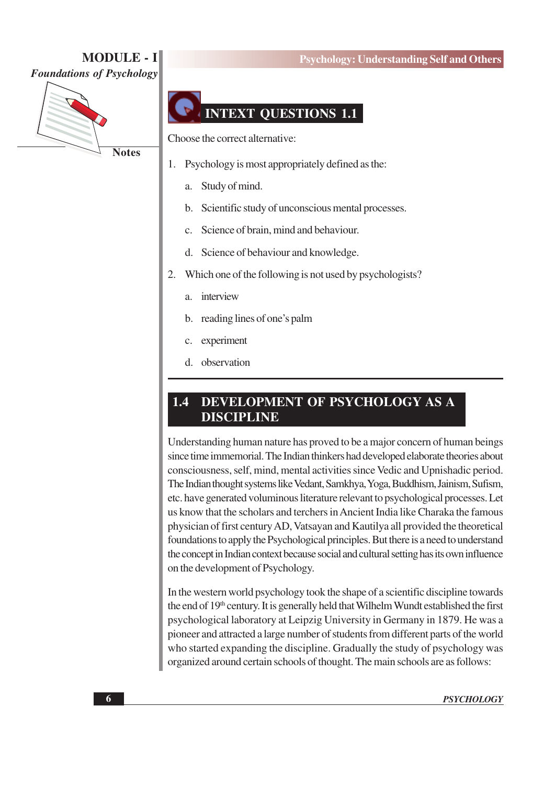

**Notes** 

#### **Psychology: Understanding Self and Others**

# **INTEXT QUESTIONS 1.1**

Choose the correct alternative:

- Psychology is most appropriately defined as the: 1.
	- Study of mind. a.
	- Scientific study of unconscious mental processes. b.
	- Science of brain, mind and behaviour.  $\mathbf{c}$ .
	- d. Science of behaviour and knowledge.
- Which one of the following is not used by psychologists? 2.
	- interview  $\mathbf{a}$
	- reading lines of one's palm  $h_{\cdot}$
	- experiment  $\mathbf{c}$ .
	- d. observation

#### 1.4 DEVELOPMENT OF PSYCHOLOGY AS A **DISCIPLINE**

Understanding human nature has proved to be a major concern of human beings since time immemorial. The Indian thinkers had developed elaborate theories about consciousness, self, mind, mental activities since Vedic and Upnishadic period. The Indian thought systems like Vedant, Samkhya, Yoga, Buddhism, Jainism, Sufism, etc. have generated voluminous literature relevant to psychological processes. Let us know that the scholars and terchers in Ancient India like Charaka the famous physician of first century AD, Vatsayan and Kautilya all provided the theoretical foundations to apply the Psychological principles. But there is a need to understand the concept in Indian context because social and cultural setting has its own influence on the development of Psychology.

In the western world psychology took the shape of a scientific discipline towards the end of 19<sup>th</sup> century. It is generally held that Wilhelm Wundt established the first psychological laboratory at Leipzig University in Germany in 1879. He was a pioneer and attracted a large number of students from different parts of the world who started expanding the discipline. Gradually the study of psychology was organized around certain schools of thought. The main schools are as follows: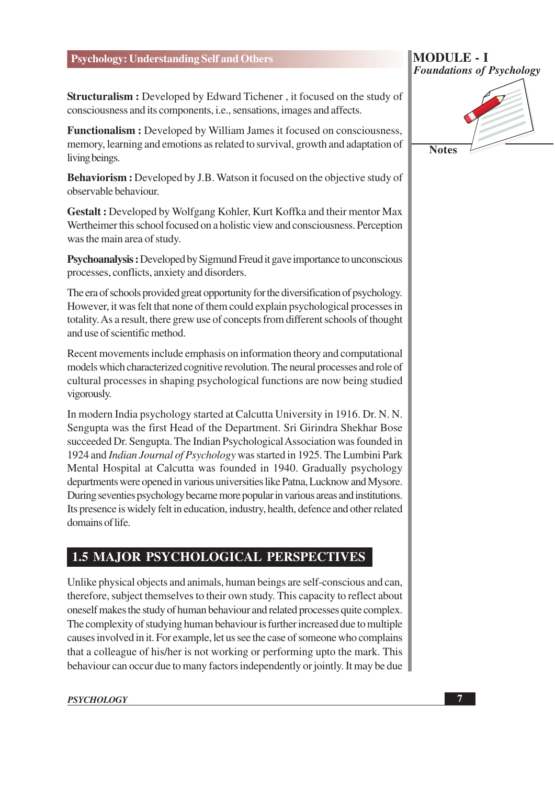**Structuralism :** Developed by Edward Tichener, it focused on the study of consciousness and its components, *i.e.*, sensations, images and affects.

Functionalism : Developed by William James it focused on consciousness, memory, learning and emotions as related to survival, growth and adaptation of living beings.

Behaviorism: Developed by J.B. Watson it focused on the objective study of observable behaviour.

Gestalt: Developed by Wolfgang Kohler, Kurt Koffka and their mentor Max Wertheimer this school focused on a holistic view and consciousness. Perception was the main area of study.

Psychoanalysis: Developed by Sigmund Freud it gave importance to unconscious processes, conflicts, anxiety and disorders.

The era of schools provided great opportunity for the diversification of psychology. However, it was felt that none of them could explain psychological processes in totality. As a result, there grew use of concepts from different schools of thought and use of scientific method.

Recent movements include emphasis on information theory and computational models which characterized cognitive revolution. The neural processes and role of cultural processes in shaping psychological functions are now being studied vigorously.

In modern India psychology started at Calcutta University in 1916. Dr. N. N. Sengupta was the first Head of the Department. Sri Girindra Shekhar Bose succeeded Dr. Sengupta. The Indian Psychological Association was founded in 1924 and *Indian Journal of Psychology* was started in 1925. The Lumbini Park Mental Hospital at Calcutta was founded in 1940. Gradually psychology departments were opened in various universities like Patna, Lucknow and Mysore. During seventies psychology became more popular in various areas and institutions. Its presence is widely felt in education, industry, health, defence and other related domains of life.

# **1.5 MAJOR PSYCHOLOGICAL PERSPECTIVES**

Unlike physical objects and animals, human beings are self-conscious and can, therefore, subject themselves to their own study. This capacity to reflect about oneself makes the study of human behaviour and related processes quite complex. The complexity of studying human behaviour is further increased due to multiple causes involved in it. For example, let us see the case of someone who complains that a colleague of his/her is not working or performing upto the mark. This behaviour can occur due to many factors independently or jointly. It may be due

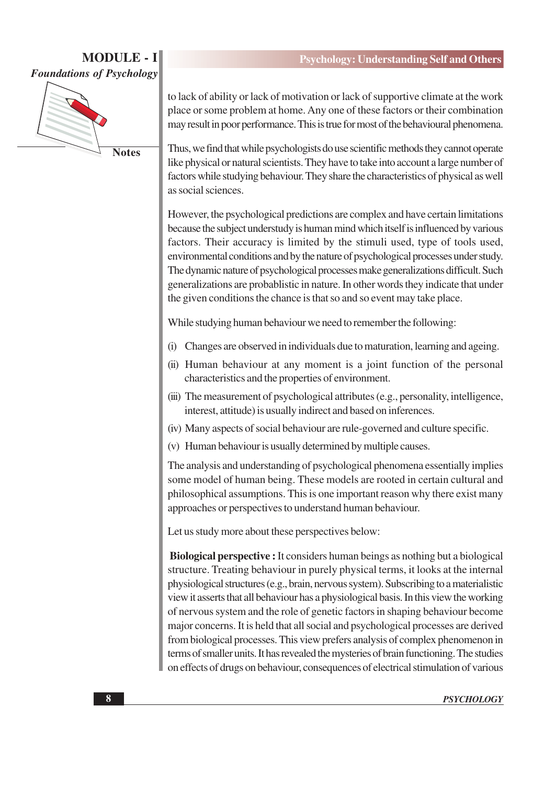# **MODULE - I Foundations of Psychology**



**Notes** 

to lack of ability or lack of motivation or lack of supportive climate at the work place or some problem at home. Any one of these factors or their combination may result in poor performance. This is true for most of the behavioural phenomena.

Thus, we find that while psychologists do use scientific methods they cannot operate like physical or natural scientists. They have to take into account a large number of factors while studying behaviour. They share the characteristics of physical as well as social sciences.

However, the psychological predictions are complex and have certain limitations because the subject understudy is human mind which itself is influenced by various factors. Their accuracy is limited by the stimuli used, type of tools used, environmental conditions and by the nature of psychological processes under study. The dynamic nature of psychological processes make generalizations difficult. Such generalizations are probablistic in nature. In other words they indicate that under the given conditions the chance is that so and so event may take place.

While studying human behaviour we need to remember the following:

- Changes are observed in individuals due to maturation, learning and ageing.  $(i)$
- (ii) Human behaviour at any moment is a joint function of the personal characteristics and the properties of environment.
- (iii) The measurement of psychological attributes (e.g., personality, intelligence, interest, attitude) is usually indirect and based on inferences.
- (iv) Many aspects of social behaviour are rule-governed and culture specific.
- (v) Human behaviour is usually determined by multiple causes.

The analysis and understanding of psychological phenomena essentially implies some model of human being. These models are rooted in certain cultural and philosophical assumptions. This is one important reason why there exist many approaches or perspectives to understand human behaviour.

Let us study more about these perspectives below:

**Biological perspective :** It considers human beings as nothing but a biological structure. Treating behaviour in purely physical terms, it looks at the internal physiological structures (e.g., brain, nervous system). Subscribing to a materialistic view it asserts that all behaviour has a physiological basis. In this view the working of nervous system and the role of genetic factors in shaping behaviour become major concerns. It is held that all social and psychological processes are derived from biological processes. This view prefers analysis of complex phenomenon in terms of smaller units. It has revealed the mysteries of brain functioning. The studies on effects of drugs on behaviour, consequences of electrical stimulation of various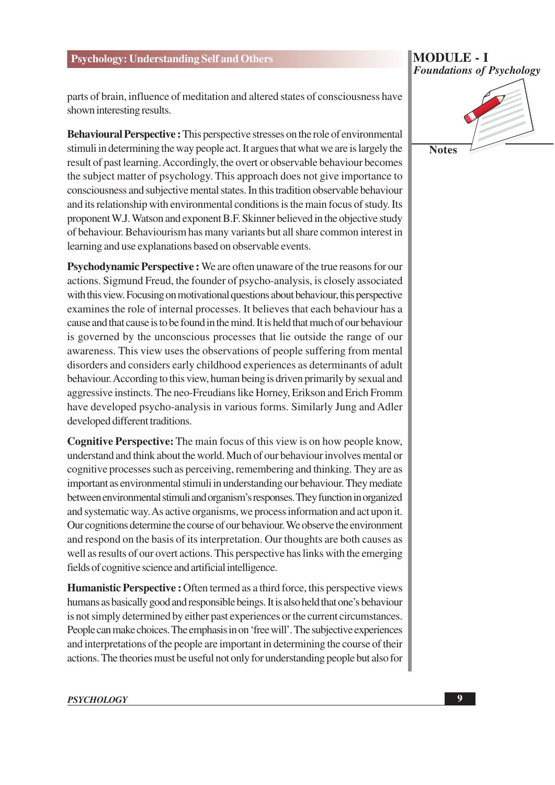parts of brain, influence of meditation and altered states of consciousness have shown interesting results.

**Behavioural Perspective :** This perspective stresses on the role of environmental stimuli in determining the way people act. It argues that what we are is largely the result of past learning. Accordingly, the overt or observable behaviour becomes the subject matter of psychology. This approach does not give importance to consciousness and subjective mental states. In this tradition observable behaviour and its relationship with environmental conditions is the main focus of study. Its proponent W.J. Watson and exponent B.F. Skinner believed in the objective study of behaviour. Behaviourism has many variants but all share common interest in learning and use explanations based on observable events.

Psychodynamic Perspective : We are often unaware of the true reasons for our actions. Sigmund Freud, the founder of psycho-analysis, is closely associated with this view. Focusing on motivational questions about behaviour, this perspective examines the role of internal processes. It believes that each behaviour has a cause and that cause is to be found in the mind. It is held that much of our behaviour is governed by the unconscious processes that lie outside the range of our awareness. This view uses the observations of people suffering from mental disorders and considers early childhood experiences as determinants of adult behaviour. According to this view, human being is driven primarily by sexual and aggressive instincts. The neo-Freudians like Horney, Erikson and Erich Fromm have developed psycho-analysis in various forms. Similarly Jung and Adler developed different traditions.

**Cognitive Perspective:** The main focus of this view is on how people know, understand and think about the world. Much of our behaviour involves mental or cognitive processes such as perceiving, remembering and thinking. They are as important as environmental stimuli in understanding our behaviour. They mediate between environmental stimuli and organism's responses. They function in organized and systematic way. As active organisms, we process information and act upon it. Our cognitions determine the course of our behaviour. We observe the environment and respond on the basis of its interpretation. Our thoughts are both causes as well as results of our overt actions. This perspective has links with the emerging fields of cognitive science and artificial intelligence.

**Humanistic Perspective :** Often termed as a third force, this perspective views humans as basically good and responsible beings. It is also held that one's behaviour is not simply determined by either past experiences or the current circumstances. People can make choices. The emphasis in on 'free will'. The subjective experiences and interpretations of the people are important in determining the course of their actions. The theories must be useful not only for understanding people but also for

# **PSYCHOLOGY**

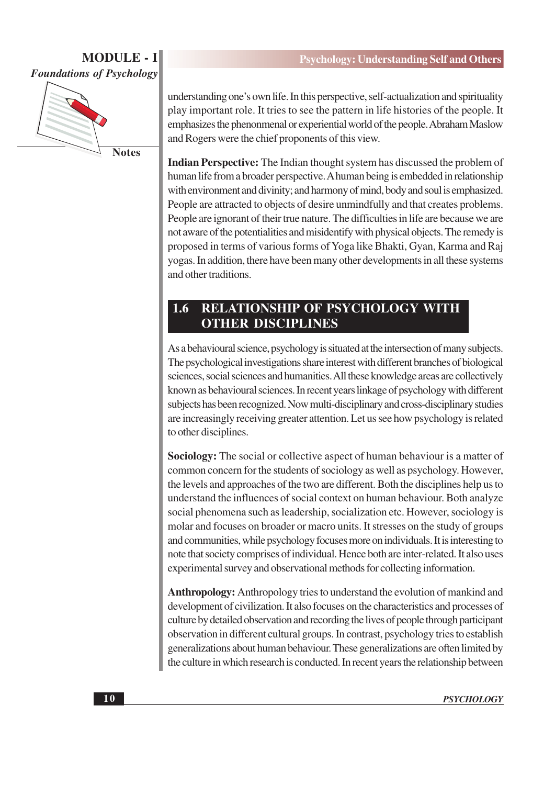

**Notes** 

understanding one's own life. In this perspective, self-actualization and spirituality play important role. It tries to see the pattern in life histories of the people. It emphasizes the phenonmenal or experiential world of the people. Abraham Maslow and Rogers were the chief proponents of this view.

**Indian Perspective:** The Indian thought system has discussed the problem of human life from a broader perspective. A human being is embedded in relationship with environment and divinity; and harmony of mind, body and soul is emphasized. People are attracted to objects of desire unmindfully and that creates problems. People are ignorant of their true nature. The difficulties in life are because we are not aware of the potentialities and misidentify with physical objects. The remedy is proposed in terms of various forms of Yoga like Bhakti, Gyan, Karma and Raj yogas. In addition, there have been many other developments in all these systems and other traditions.

#### 1.6 **RELATIONSHIP OF PSYCHOLOGY WITH OTHER DISCIPLINES**

As a behavioural science, psychology is situated at the intersection of many subjects. The psychological investigations share interest with different branches of biological sciences, social sciences and humanities. All these knowledge areas are collectively known as behavioural sciences. In recent years linkage of psychology with different subjects has been recognized. Now multi-disciplinary and cross-disciplinary studies are increasingly receiving greater attention. Let us see how psychology is related to other disciplines.

**Sociology:** The social or collective aspect of human behaviour is a matter of common concern for the students of sociology as well as psychology. However, the levels and approaches of the two are different. Both the disciplines help us to understand the influences of social context on human behaviour. Both analyze social phenomena such as leadership, socialization etc. However, sociology is molar and focuses on broader or macro units. It stresses on the study of groups and communities, while psychology focuses more on individuals. It is interesting to note that society comprises of individual. Hence both are inter-related. It also uses experimental survey and observational methods for collecting information.

Anthropology: Anthropology tries to understand the evolution of mankind and development of civilization. It also focuses on the characteristics and processes of culture by detailed observation and recording the lives of people through participant observation in different cultural groups. In contrast, psychology tries to establish generalizations about human behaviour. These generalizations are often limited by the culture in which research is conducted. In recent years the relationship between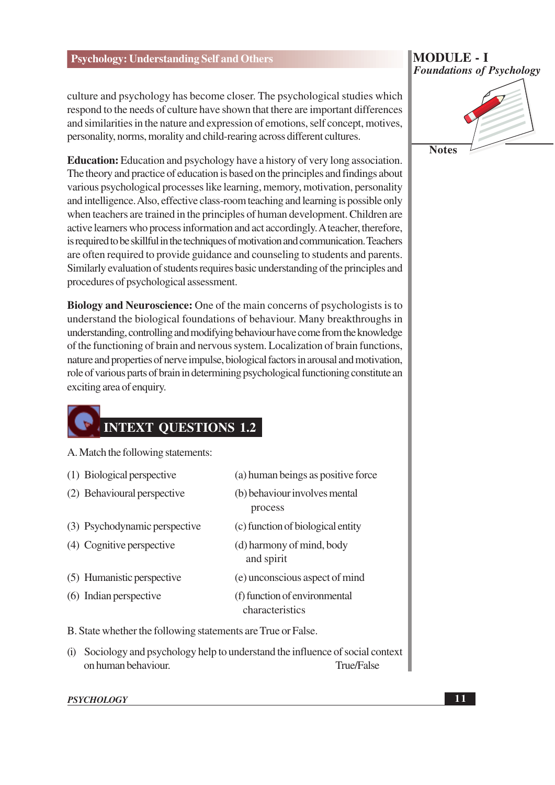culture and psychology has become closer. The psychological studies which respond to the needs of culture have shown that there are important differences and similarities in the nature and expression of emotions, self concept, motives, personality, norms, morality and child-rearing across different cultures.

**Education:** Education and psychology have a history of very long association. The theory and practice of education is based on the principles and findings about various psychological processes like learning, memory, motivation, personality and intelligence. Also, effective class-room teaching and learning is possible only when teachers are trained in the principles of human development. Children are active learners who process information and act accordingly. A teacher, therefore, is required to be skillful in the techniques of motivation and communication. Teachers are often required to provide guidance and counseling to students and parents. Similarly evaluation of students requires basic understanding of the principles and procedures of psychological assessment.

**Biology and Neuroscience:** One of the main concerns of psychologists is to understand the biological foundations of behaviour. Many breakthroughs in understanding, controlling and modifying behaviour have come from the knowledge of the functioning of brain and nervous system. Localization of brain functions, nature and properties of nerve impulse, biological factors in arousal and motivation, role of various parts of brain in determining psychological functioning constitute an exciting area of enquiry.

# **INTEXT QUESTIONS 1.2**

A. Match the following statements:

|                                                              | (1) Biological perspective    | (a) human beings as positive force               |
|--------------------------------------------------------------|-------------------------------|--------------------------------------------------|
|                                                              | (2) Behavioural perspective   | (b) behaviour involves mental<br>process         |
|                                                              | (3) Psychodynamic perspective | (c) function of biological entity                |
|                                                              | (4) Cognitive perspective     | (d) harmony of mind, body<br>and spirit          |
|                                                              | (5) Humanistic perspective    | (e) unconscious aspect of mind                   |
|                                                              | (6) Indian perspective        | (f) function of environmental<br>characteristics |
| B. State whether the following statements are True or False. |                               |                                                  |

(i) Sociology and psychology help to understand the influence of social context on human behaviour. True/False

#### **PSYCHOLOGY**

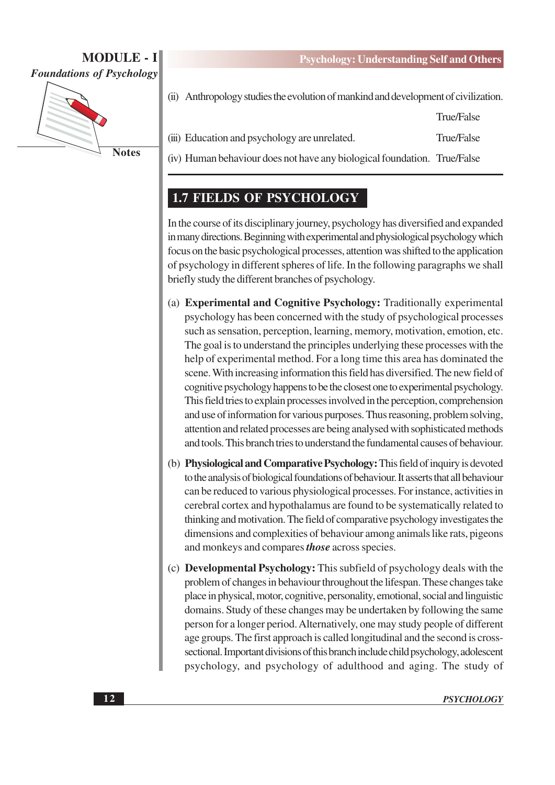

**Psychology: Understanding Self and Others** 

True/False

(ii) Anthropology studies the evolution of mankind and development of civilization.

(iii) Education and psychology are unrelated. **True/False** 

(iv) Human behaviour does not have any biological foundation. True/False

# **1.7 FIELDS OF PSYCHOLOGY**

In the course of its disciplinary journey, psychology has diversified and expanded in many directions. Beginning with experimental and physiological psychology which focus on the basic psychological processes, attention was shifted to the application of psychology in different spheres of life. In the following paragraphs we shall briefly study the different branches of psychology.

- (a) Experimental and Cognitive Psychology: Traditionally experimental psychology has been concerned with the study of psychological processes such as sensation, perception, learning, memory, motivation, emotion, etc. The goal is to understand the principles underlying these processes with the help of experimental method. For a long time this area has dominated the scene. With increasing information this field has diversified. The new field of cognitive psychology happens to be the closest one to experimental psychology. This field tries to explain processes involved in the perception, comprehension and use of information for various purposes. Thus reasoning, problem solving, attention and related processes are being analysed with sophisticated methods and tools. This branch tries to understand the fundamental causes of behaviour.
- (b) Physiological and Comparative Psychology: This field of inquiry is devoted to the analysis of biological foundations of behaviour. It asserts that all behaviour can be reduced to various physiological processes. For instance, activities in cerebral cortex and hypothalamus are found to be systematically related to thinking and motivation. The field of comparative psychology investigates the dimensions and complexities of behaviour among animals like rats, pigeons and monkeys and compares *those* across species.
- (c) **Developmental Psychology:** This subfield of psychology deals with the problem of changes in behaviour throughout the lifespan. These changes take place in physical, motor, cognitive, personality, emotional, social and linguistic domains. Study of these changes may be undertaken by following the same person for a longer period. Alternatively, one may study people of different age groups. The first approach is called longitudinal and the second is crosssectional. Important divisions of this branch include child psychology, adolescent psychology, and psychology of adulthood and aging. The study of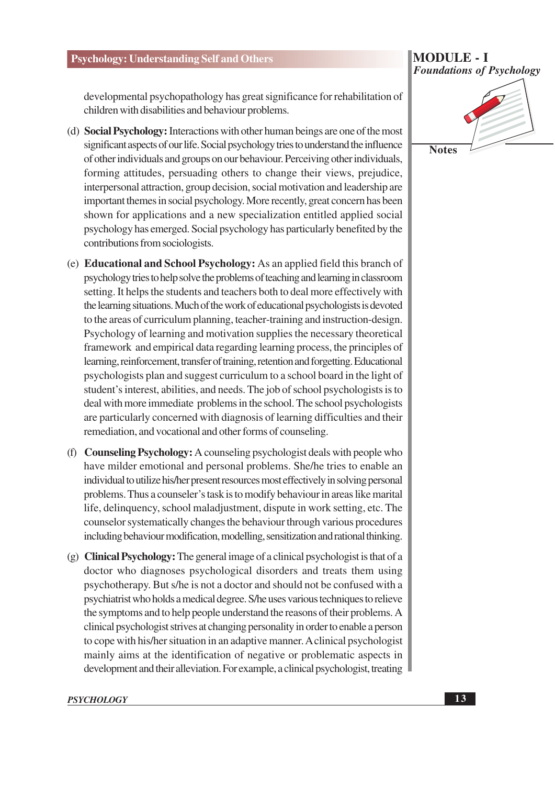#### **MODULE - I Foundations of Psychology**

developmental psychopathology has great significance for rehabilitation of children with disabilities and behaviour problems.

- (d) Social Psychology: Interactions with other human beings are one of the most significant aspects of our life. Social psychology tries to understand the influence of other individuals and groups on our behaviour. Perceiving other individuals, forming attitudes, persuading others to change their views, prejudice, interpersonal attraction, group decision, social motivation and leadership are important themes in social psychology. More recently, great concern has been shown for applications and a new specialization entitled applied social psychology has emerged. Social psychology has particularly benefited by the contributions from sociologists.
- (e) **Educational and School Psychology:** As an applied field this branch of psychology tries to help solve the problems of teaching and learning in classroom setting. It helps the students and teachers both to deal more effectively with the learning situations. Much of the work of educational psychologists is devoted to the areas of curriculum planning, teacher-training and instruction-design. Psychology of learning and motivation supplies the necessary theoretical framework and empirical data regarding learning process, the principles of learning, reinforcement, transfer of training, retention and forgetting. Educational psychologists plan and suggest curriculum to a school board in the light of student's interest, abilities, and needs. The job of school psychologists is to deal with more immediate problems in the school. The school psychologists are particularly concerned with diagnosis of learning difficulties and their remediation, and vocational and other forms of counseling.
- (f) Counseling Psychology: A counseling psychologist deals with people who have milder emotional and personal problems. She/he tries to enable an individual to utilize his/her present resources most effectively in solving personal problems. Thus a counseler's task is to modify behaviour in areas like marital life, delinquency, school maladjustment, dispute in work setting, etc. The counselor systematically changes the behaviour through various procedures including behaviour modification, modelling, sensitization and rational thinking.
- (g) Clinical Psychology: The general image of a clinical psychologist is that of a doctor who diagnoses psychological disorders and treats them using psychotherapy. But s/he is not a doctor and should not be confused with a psychiatrist who holds a medical degree. S/he uses various techniques to relieve the symptoms and to help people understand the reasons of their problems. A clinical psychologist strives at changing personality in order to enable a person to cope with his/her situation in an adaptive manner. A clinical psychologist mainly aims at the identification of negative or problematic aspects in development and their alleviation. For example, a clinical psychologist, treating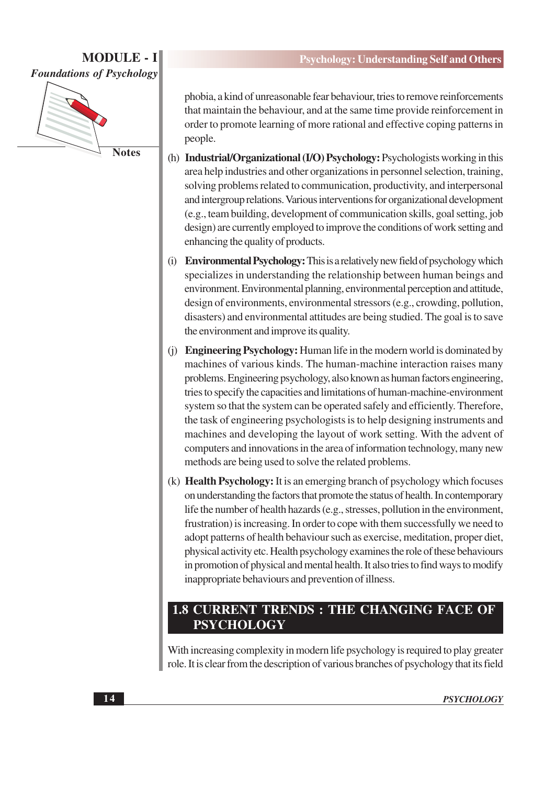

phobia, a kind of unreasonable fear behaviour, tries to remove reinforcements that maintain the behaviour, and at the same time provide reinforcement in order to promote learning of more rational and effective coping patterns in people.

- (h) Industrial/Organizational (I/O) Psychology: Psychologists working in this area help industries and other organizations in personnel selection, training, solving problems related to communication, productivity, and interpersonal and intergroup relations. Various interventions for organizational development (e.g., team building, development of communication skills, goal setting, job design) are currently employed to improve the conditions of work setting and enhancing the quality of products.
- (i) Environmental Psychology: This is a relatively new field of psychology which specializes in understanding the relationship between human beings and environment. Environmental planning, environmental perception and attitude, design of environments, environmental stressors (e.g., crowding, pollution, disasters) and environmental attitudes are being studied. The goal is to save the environment and improve its quality.
- (i) Engineering Psychology: Human life in the modern world is dominated by machines of various kinds. The human-machine interaction raises many problems. Engineering psychology, also known as human factors engineering, tries to specify the capacities and limitations of human-machine-environment system so that the system can be operated safely and efficiently. Therefore, the task of engineering psychologists is to help designing instruments and machines and developing the layout of work setting. With the advent of computers and innovations in the area of information technology, many new methods are being used to solve the related problems.
- (k) Health Psychology: It is an emerging branch of psychology which focuses on understanding the factors that promote the status of health. In contemporary life the number of health hazards (e.g., stresses, pollution in the environment, frustration) is increasing. In order to cope with them successfully we need to adopt patterns of health behaviour such as exercise, meditation, proper diet, physical activity etc. Health psychology examines the role of these behaviours in promotion of physical and mental health. It also tries to find ways to modify inappropriate behaviours and prevention of illness.

# **1.8 CURRENT TRENDS : THE CHANGING FACE OF PSYCHOLOGY**

With increasing complexity in modern life psychology is required to play greater role. It is clear from the description of various branches of psychology that its field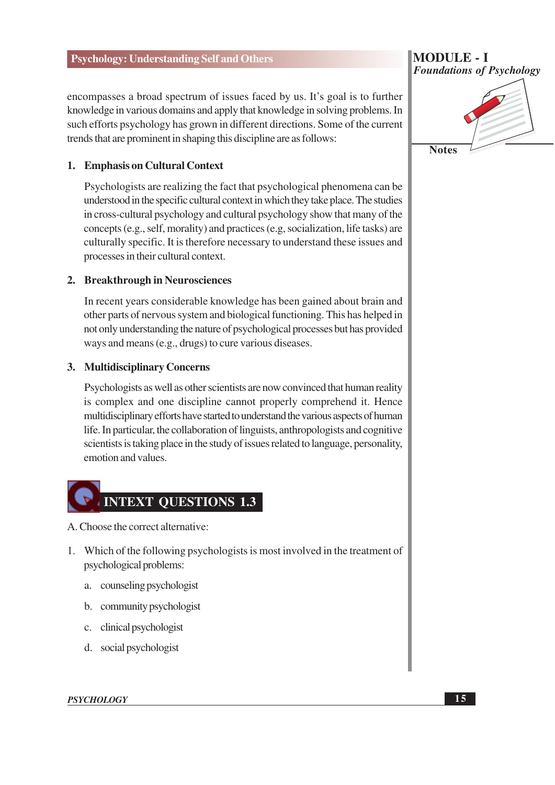encompasses a broad spectrum of issues faced by us. It's goal is to further knowledge in various domains and apply that knowledge in solving problems. In such efforts psychology has grown in different directions. Some of the current trends that are prominent in shaping this discipline are as follows:

#### 1. Emphasis on Cultural Context

Psychologists are realizing the fact that psychological phenomena can be understood in the specific cultural context in which they take place. The studies in cross-cultural psychology and cultural psychology show that many of the concepts (e.g., self, morality) and practices (e.g. socialization, life tasks) are culturally specific. It is therefore necessary to understand these issues and processes in their cultural context.

#### 2. Breakthrough in Neurosciences

In recent years considerable knowledge has been gained about brain and other parts of nervous system and biological functioning. This has helped in not only understanding the nature of psychological processes but has provided ways and means (e.g., drugs) to cure various diseases.

#### 3. Multidisciplinary Concerns

Psychologists as well as other scientists are now convinced that human reality is complex and one discipline cannot properly comprehend it. Hence multidisciplinary efforts have started to understand the various aspects of human life. In particular, the collaboration of linguists, anthropologists and cognitive scientists is taking place in the study of issues related to language, personality, emotion and values.

# **INTEXT QUESTIONS 1.3**

A. Choose the correct alternative:

- 1. Which of the following psychologists is most involved in the treatment of psychological problems:
	- a. counseling psychologist
	- b. community psychologist
	- c. clinical psychologist
	- d. social psychologist

**Foundations of Psychology** 

**MODULE - I** 

**Notes** 

**PSYCHOLOGY**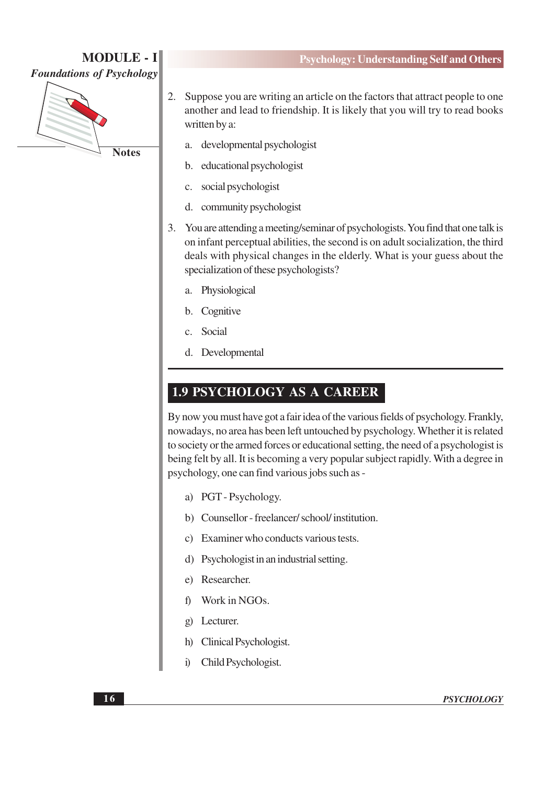

**Psychology: Understanding Self and Others** 

- $2.$ Suppose you are writing an article on the factors that attract people to one another and lead to friendship. It is likely that you will try to read books written by a:
	- developmental psychologist a.
	- educational psychologist b.
	- social psychologist  $\mathbf{c}$ .
	- community psychologist d.
- $3.$ You are attending a meeting/seminar of psychologists. You find that one talk is on infant perceptual abilities, the second is on adult socialization, the third deals with physical changes in the elderly. What is your guess about the specialization of these psychologists?
	- Physiological a.
	- $\mathbf{b}$ . Cognitive
	- Social  $\mathbf{c}$
	- d. Developmental

## **1.9 PSYCHOLOGY AS A CAREER**

By now you must have got a fair idea of the various fields of psychology. Frankly, nowadays, no area has been left untouched by psychology. Whether it is related to society or the armed forces or educational setting, the need of a psychologist is being felt by all. It is becoming a very popular subject rapidly. With a degree in psychology, one can find various jobs such as -

- a) PGT-Psychology.
- b) Counsellor freelancer/school/institution.
- c) Examiner who conducts various tests.
- d) Psychologist in an industrial setting.
- e) Researcher.
- Work in NGOs. f)
- Lecturer.  $\mathbf{g}$
- Clinical Psychologist. h)
- Child Psychologist.  $\ddot{1}$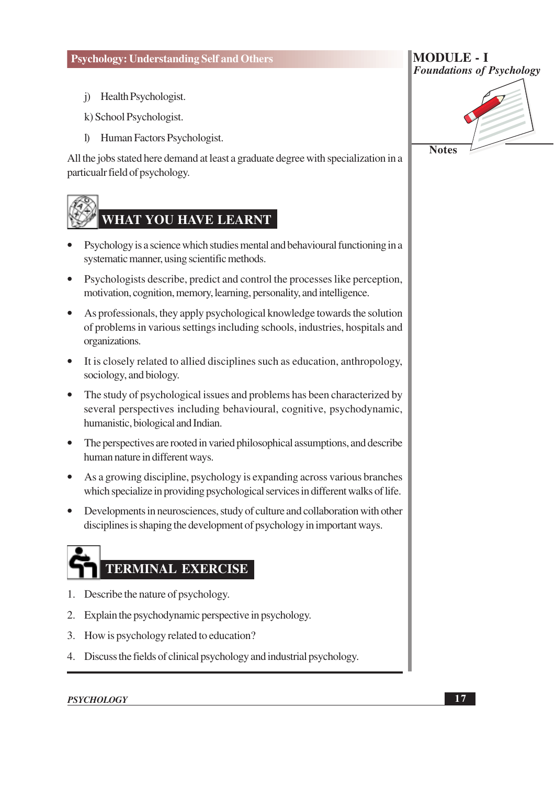j) Health Psychologist.

k) School Psychologist.

I) Human Factors Psychologist.

All the jobs stated here demand at least a graduate degree with specialization in a particualr field of psychology.

# **WHAT YOU HAVE LEARNT**

- Psychology is a science which studies mental and behavioural functioning in a systematic manner, using scientific methods.
- Psychologists describe, predict and control the processes like perception, motivation, cognition, memory, learning, personality, and intelligence.
- As professionals, they apply psychological knowledge towards the solution of problems in various settings including schools, industries, hospitals and organizations.
- It is closely related to allied disciplines such as education, anthropology, sociology, and biology.
- The study of psychological issues and problems has been characterized by several perspectives including behavioural, cognitive, psychodynamic, humanistic, biological and Indian.
- The perspectives are rooted in varied philosophical assumptions, and describe human nature in different ways.
- As a growing discipline, psychology is expanding across various branches which specialize in providing psychological services in different walks of life.
- Developments in neurosciences, study of culture and collaboration with other  $\bullet$ disciplines is shaping the development of psychology in important ways.

# TERMINAL EXERCISE

- 1. Describe the nature of psychology.
- 2. Explain the psychodynamic perspective in psychology.
- 3. How is psychology related to education?
- 4. Discuss the fields of clinical psychology and industrial psychology.

#### **PSYCHOLOGY**



**Notes** 

**MODULE - I**